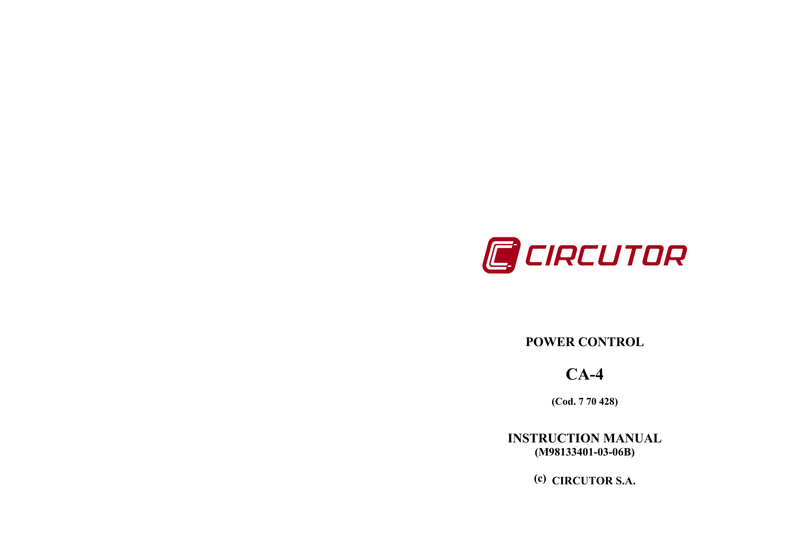

## POWER CONTROL

# CA-4

(Cod. 7 70 428)

INSTRUCTION MANUAL (M98133401-03-06B)

(c) CIRCUTOR S.A.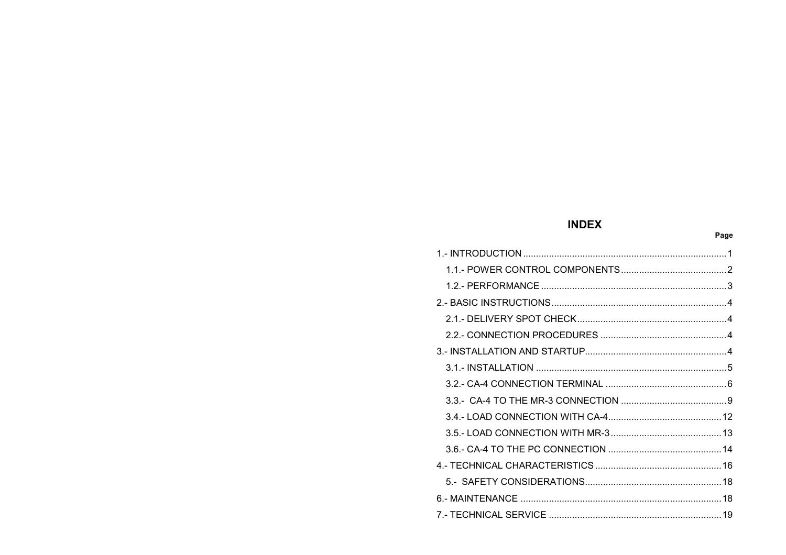## **INDEX**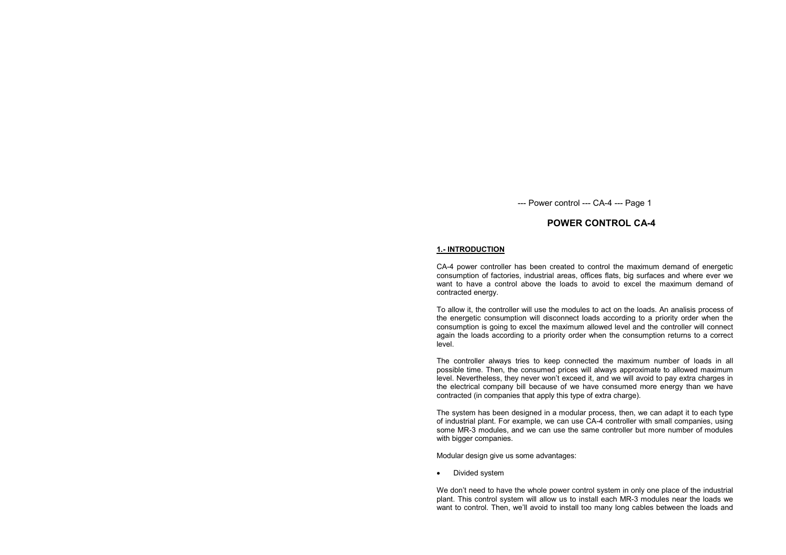## POWER CONTROL CA-4

#### 1.- INTRODUCTION

CA-4 power controller has been created to control the maximum demand of energetic consumption of factories, industrial areas, offices flats, big surfaces and where ever we want to have a control above the loads to avoid to excel the maximum demand of contracted energy.

To allow it, the controller will use the modules to act on the loads. An analisis process of the energetic consumption will disconnect loads according to a priority order when the consumption is going to excel the maximum allowed level and the controller will connect again the loads according to a priority order when the consumption returns to a correct level.

The controller always tries to keep connected the maximum number of loads in all possible time. Then, the consumed prices will always approximate to allowed maximum level. Nevertheless, they never won't exceed it, and we will avoid to pay extra charges in the electrical company bill because of we have consumed more energy than we have contracted (in companies that apply this type of extra charge).

The system has been designed in a modular process, then, we can adapt it to each type of industrial plant. For example, we can use CA-4 controller with small companies, using some MR-3 modules, and we can use the same controller but more number of modules with bigger companies.

Modular design give us some advantages:

• Divided system

We don't need to have the whole power control system in only one place of the industrial plant. This control system will allow us to install each MR-3 modules near the loads we want to control. Then, we'll avoid to install too many long cables between the loads and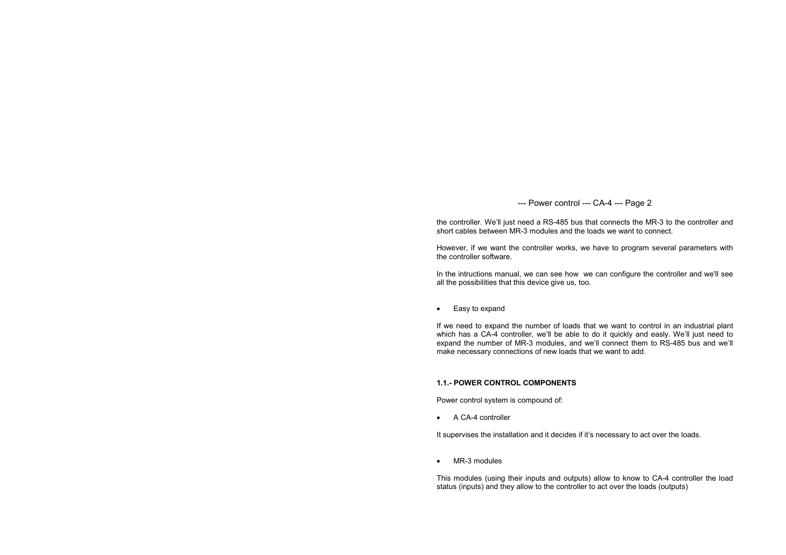the controller. We'll just need a RS-485 bus that connects the MR-3 to the controller and short cables between MR-3 modules and the loads we want to connect.

However, if we want the controller works, we have to program several parameters with the controller software.

In the intructions manual, we can see how we can configure the controller and we'll see all the possibilities that this device give us, too.

• Easy to expand

If we need to expand the number of loads that we want to control in an industrial plant which has a CA-4 controller, we'll be able to do it quickly and easly. We'll just need to expand the number of MR-3 modules, and we'll connect them to RS-485 bus and we'll make necessary connections of new loads that we want to add.

## 1.1.- POWER CONTROL COMPONENTS

Power control system is compound of:

• A CA-4 controller

It supervises the installation and it decides if it's necessary to act over the loads.

• MR-3 modules

This modules (using their inputs and outputs) allow to know to CA-4 controller the load status (inputs) and they allow to the controller to act over the loads (outputs)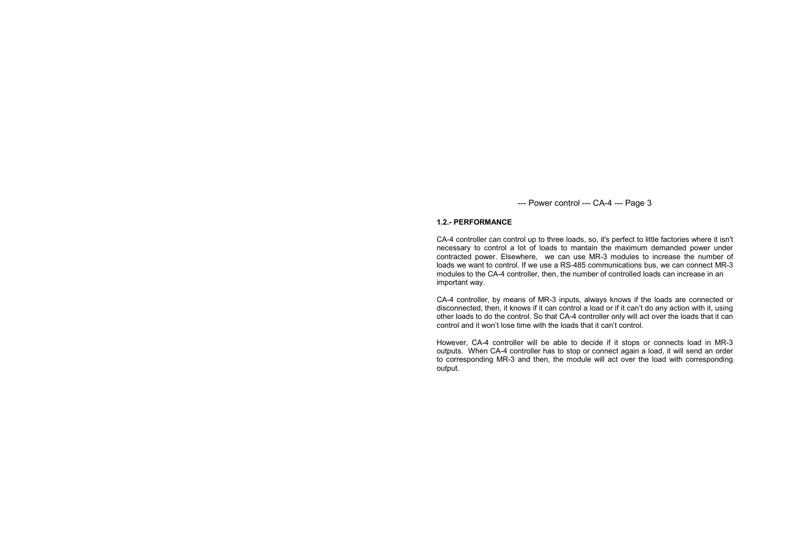#### 1.2.- PERFORMANCE

CA-4 controller can control up to three loads, so, it's perfect to little factories where it isn't necessary to control a lot of loads to mantain the maximum demanded power under contracted power. Elsewhere, we can use MR-3 modules to increase the number of loads we want to control. If we use a RS-485 communications bus, we can connect MR-3 modules to the CA-4 controller, then, the number of controlled loads can increase in an important way.

CA-4 controller, by means of MR-3 inputs, always knows if the loads are connected or disconnected, then, it knows if it can control a load or if it can't do any action with it, using other loads to do the control. So that CA-4 controller only will act over the loads that it can control and it won't lose time with the loads that it can't control.

However, CA-4 controller will be able to decide if it stops or connects load in MR-3 outputs. When CA-4 controller has to stop or connect again a load, it will send an order to corresponding MR-3 and then, the module will act over the load with corresponding output.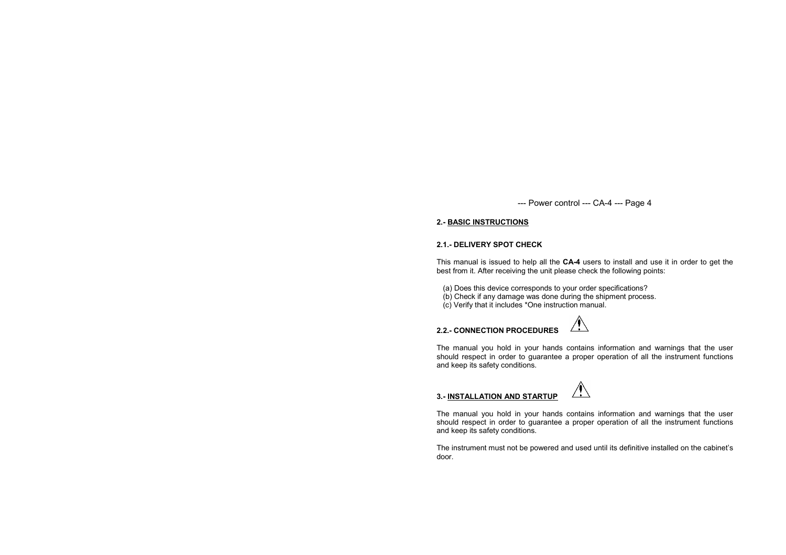## 2.- BASIC INSTRUCTIONS

## 2.1.- DELIVERY SPOT CHECK

This manual is issued to help all the CA-4 users to install and use it in order to get the best from it. After receiving the unit please check the following points:

- (a) Does this device corresponds to your order specifications?
- (b) Check if any damage was done during the shipment process.
	- (c) Verify that it includes \*One instruction manual.

## 2.2.- CONNECTION PROCEDURES



The manual you hold in your hands contains information and warnings that the user should respect in order to guarantee a proper operation of all the instrument functions and keep its safety conditions.

## 3.- INSTALLATION AND STARTUP

The manual you hold in your hands contains information and warnings that the user should respect in order to guarantee a proper operation of all the instrument functions and keep its safety conditions.

The instrument must not be powered and used until its definitive installed on the cabinet's door.

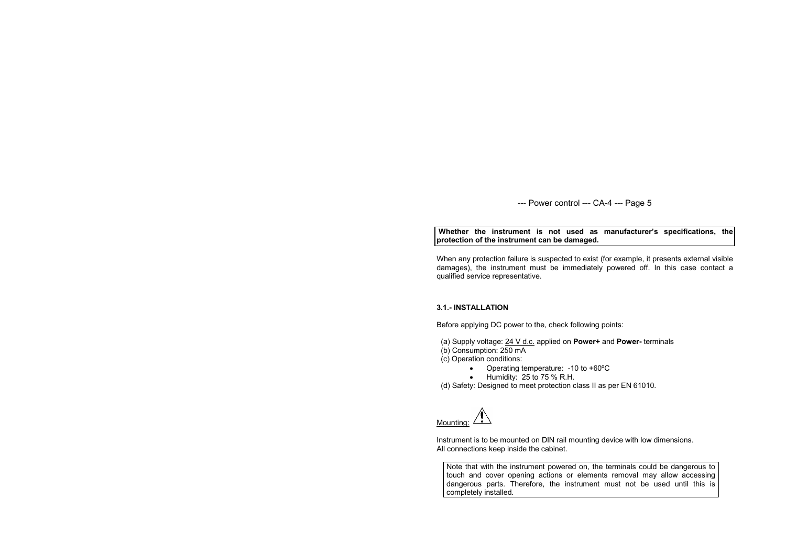Whether the instrument is not used as manufacturer's specifications, the protection of the instrument can be damaged.

When any protection failure is suspected to exist (for example, it presents external visible damages), the instrument must be immediately powered off. In this case contact a qualified service representative.

## 3.1.- INSTALLATION

Before applying DC power to the, check following points:

- (a) Supply voltage: 24 V d.c. applied on Power+ and Power- terminals
- (b) Consumption: 250 mA
- (c) Operation conditions:
	- Operating temperature: -10 to +60ºC
	- Humidity: 25 to 75 % R.H.
- (d) Safety: Designed to meet protection class II as per EN 61010.

Mounting:

Instrument is to be mounted on DIN rail mounting device with low dimensions. All connections keep inside the cabinet.

Note that with the instrument powered on, the terminals could be dangerous to touch and cover opening actions or elements removal may allow accessing dangerous parts. Therefore, the instrument must not be used until this is completely installed.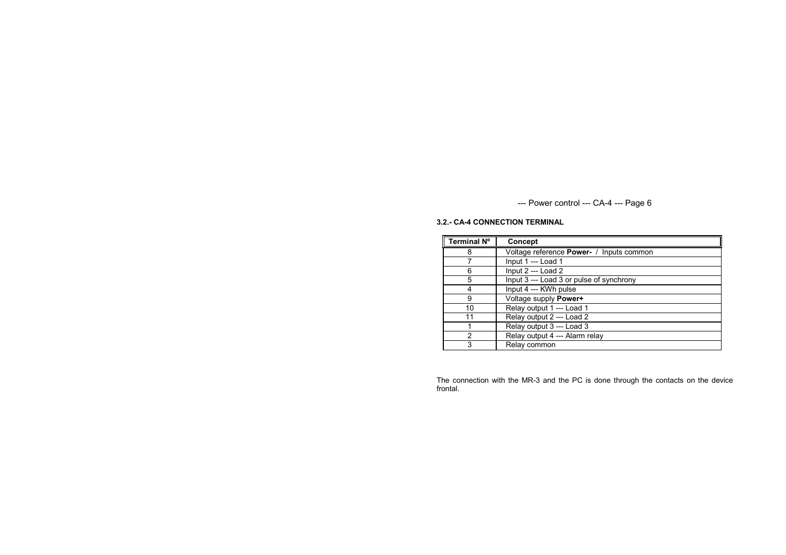## 3.2.- CA-4 CONNECTION TERMINAL

| Γ<br>Terminal N° | Concept                                  |
|------------------|------------------------------------------|
| 8                | Voltage reference Power- / Inputs common |
|                  | Input 1 --- Load 1                       |
| 6                | Input $2$ --- Load $2$                   |
| 5                | Input 3 --- Load 3 or pulse of synchrony |
| 4                | Input 4 --- KWh pulse                    |
| 9                | Voltage supply Power+                    |
| 10               | Relay output 1 --- Load 1                |
| 11               | Relay output 2 --- Load 2                |
|                  | Relay output 3 --- Load 3                |
| 2                | Relay output 4 --- Alarm relay           |
| 3                | Relay common                             |

The connection with the MR-3 and the PC is done through the contacts on the device frontal.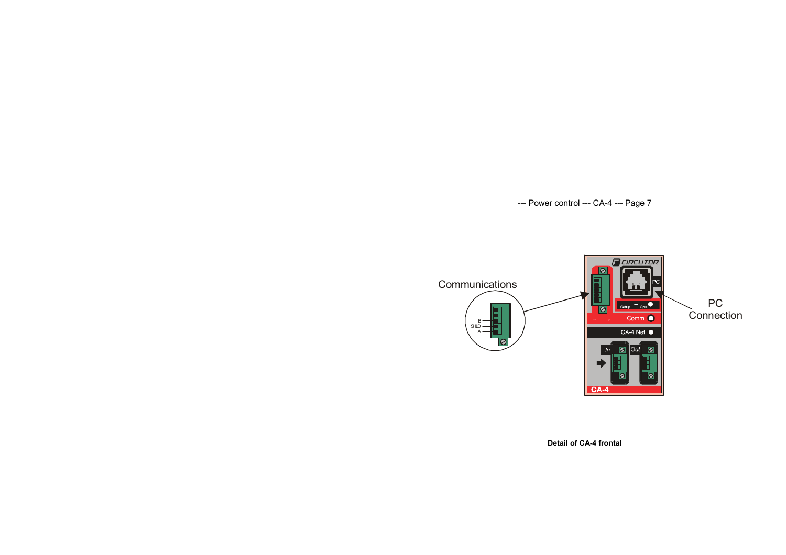

Detail of CA-4 frontal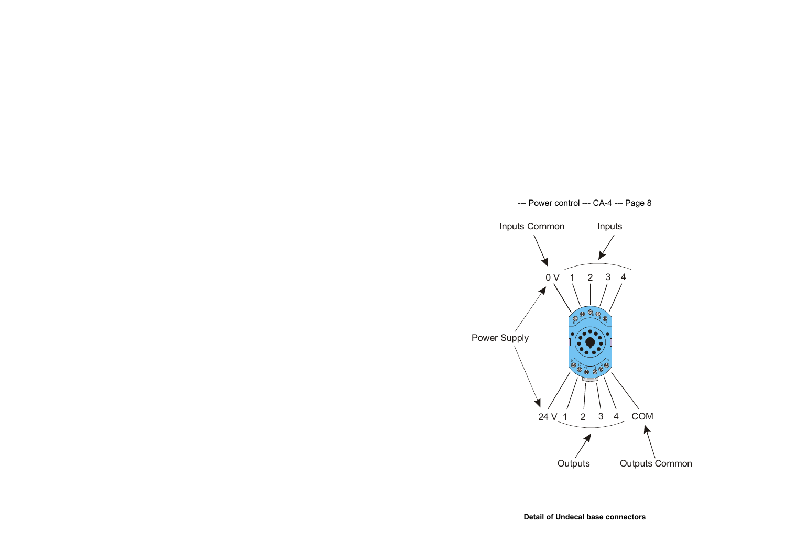

Detail of Undecal base connectors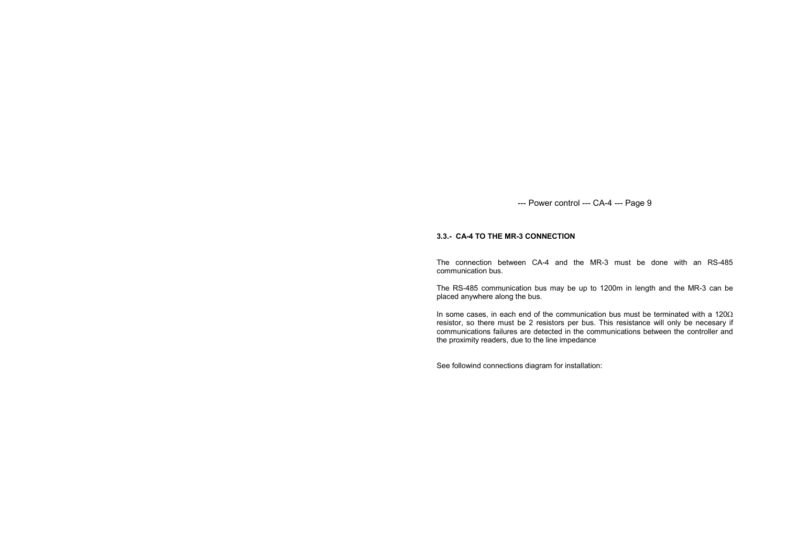#### 3.3.- CA-4 TO THE MR-3 CONNECTION

The connection between CA-4 and the MR-3 must be done with an RS-485 communication bus.

The RS-485 communication bus may be up to 1200m in length and the MR-3 can be placed anywhere along the bus.

In some cases, in each end of the communication bus must be terminated with a 120 $\Omega$  resistor, so there must be 2 resistors per bus. This resistance will only be necesary if communications failures are detected in the communications between the controller and the proximity readers, due to the line impedance

See followind connections diagram for installation: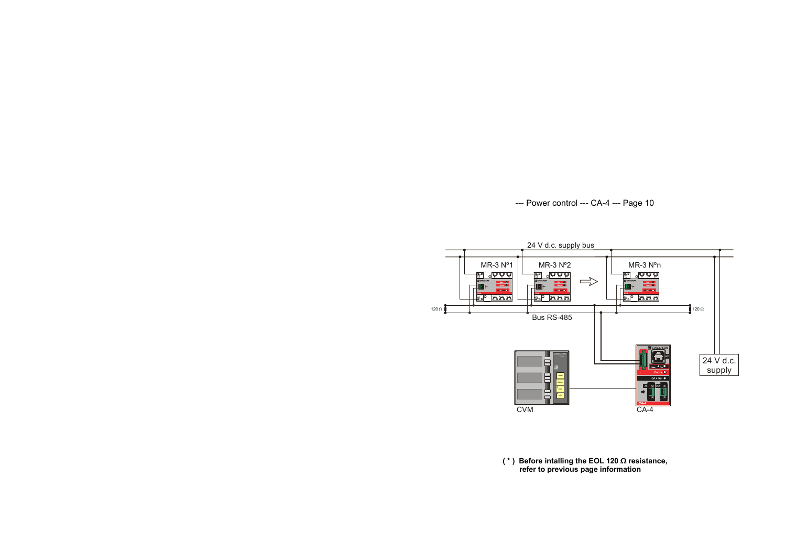

(\*) Before intalling the EOL 120  $\Omega$  resistance, refer to previous page information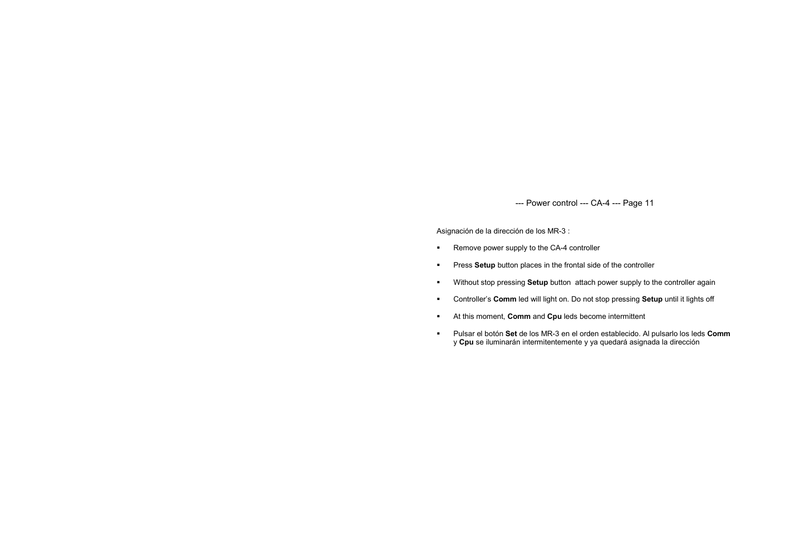Asignación de la dirección de los MR-3 :

- **Remove power supply to the CA-4 controller**
- **Press Setup** button places in the frontal side of the controller
- **Without stop pressing Setup button attach power supply to the controller again**
- **Controller's Comm led will light on. Do not stop pressing Setup until it lights off**
- At this moment, **Comm** and **Cpu** leds become intermittent
- **Pulsar el botón Set de los MR-3 en el orden establecido. Al pulsarlo los leds Comm** y Cpu se iluminarán intermitentemente y ya quedará asignada la dirección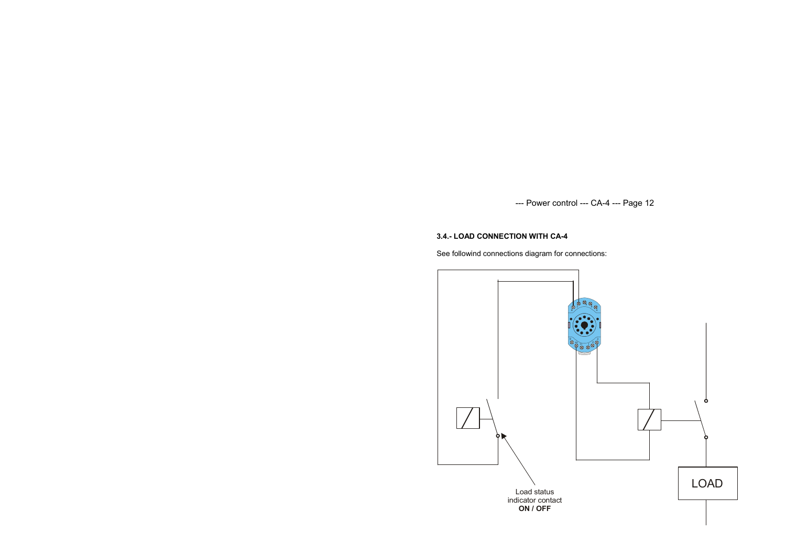## 3.4.- LOAD CONNECTION WITH CA-4

See followind connections diagram for connections:

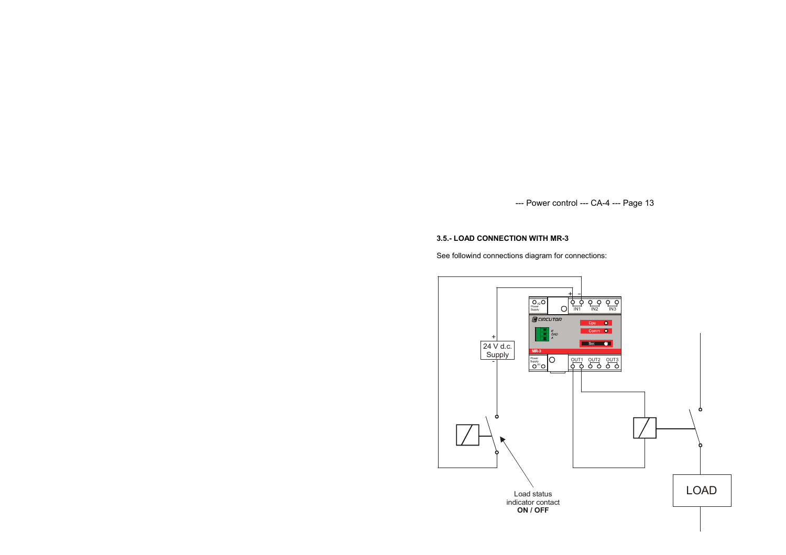## 3.5.- LOAD CONNECTION WITH MR-3

See followind connections diagram for connections:

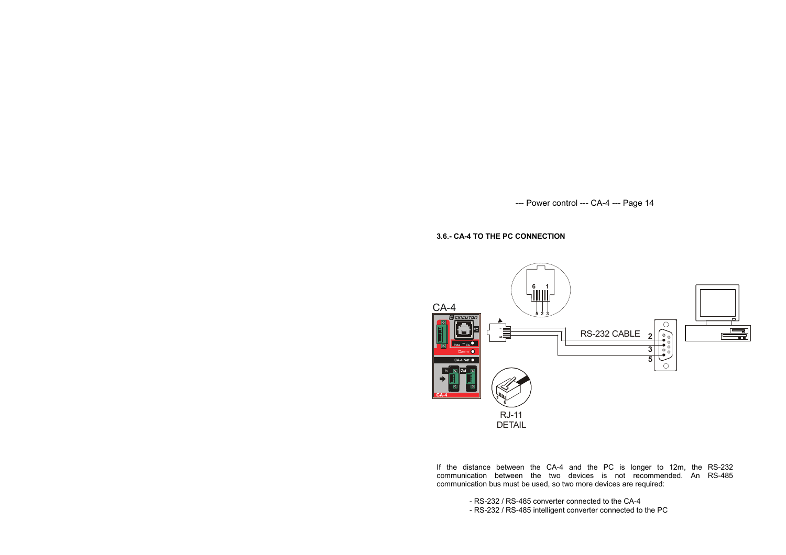## 3.6.- CA-4 TO THE PC CONNECTION



If the distance between the CA-4 and the PC is longer to 12m, the RS-232 communication between the two devices is not recommended. An RS-485 communication bus must be used, so two more devices are required:

- RS-232 / RS-485 converter connected to the CA-4

- RS-232 / RS-485 intelligent converter connected to the PC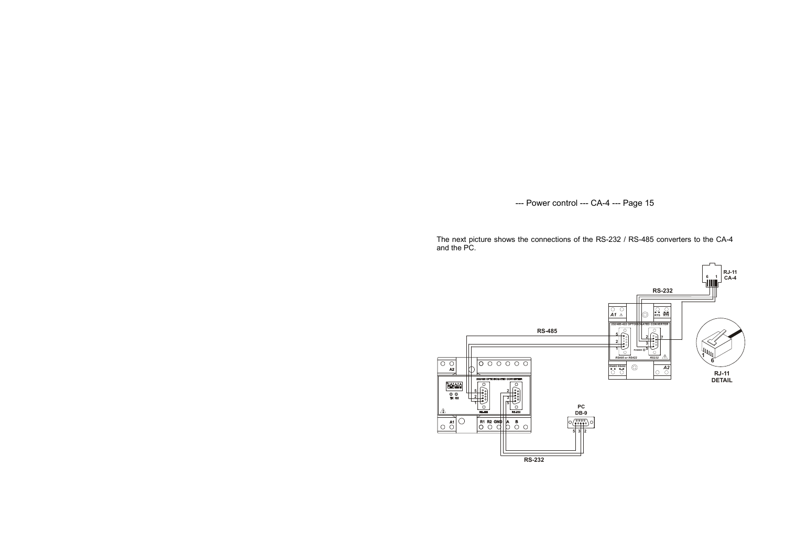The next picture shows the connections of the RS-232 / RS-485 converters to the CA-4 and the PC.

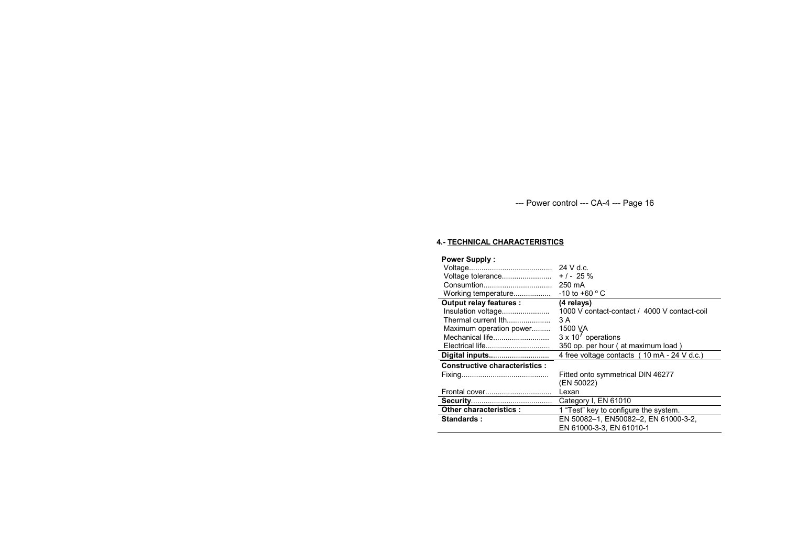## 4.- TECHNICAL CHARACTERISTICS

| <b>Power Supply:</b>                 |                                              |
|--------------------------------------|----------------------------------------------|
|                                      | $24$ V d.c.                                  |
| Voltage tolerance                    | $+/- 25 \%$                                  |
| Consumtion                           | 250 mA                                       |
| Working temperature                  | $-10$ to $+60$ ° C                           |
| Output relay features :              | (4 relays)                                   |
| Insulation voltage                   | 1000 V contact-contact / 4000 V contact-coil |
| Thermal current lth                  | 3 A                                          |
| Maximum operation power              | 1500 VA                                      |
| Mechanical life                      | $3 \times 10^7$ operations                   |
|                                      | 350 op. per hour (at maximum load)           |
| Digital inputs                       | 4 free voltage contacts (10 mA - 24 V d.c.)  |
| <b>Constructive characteristics:</b> |                                              |
|                                      | Fitted onto symmetrical DIN 46277            |
|                                      | (EN 50022)                                   |
| Frontal cover                        | Lexan                                        |
|                                      | Category I, EN 61010                         |
| Other characteristics :              | 1 "Test" key to configure the system.        |
| Standards:                           | EN 50082-1, EN50082-2, EN 61000-3-2,         |
|                                      | EN 61000-3-3, EN 61010-1                     |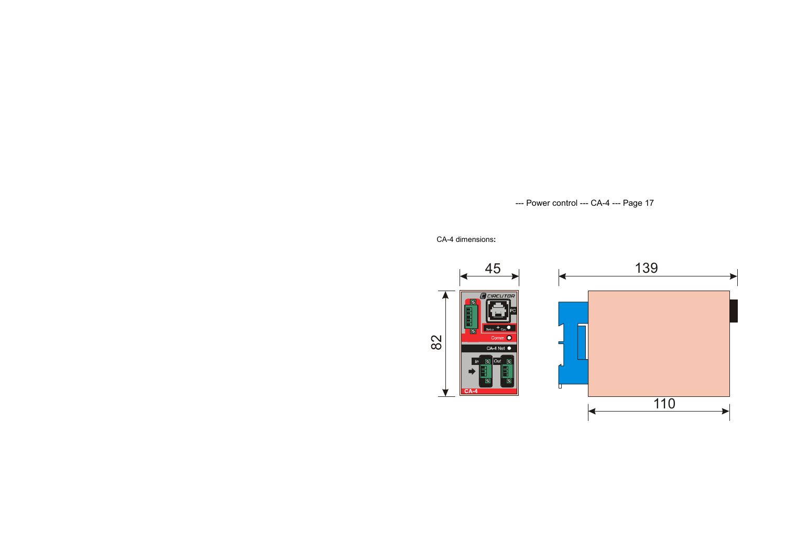CA-4 dimensions:



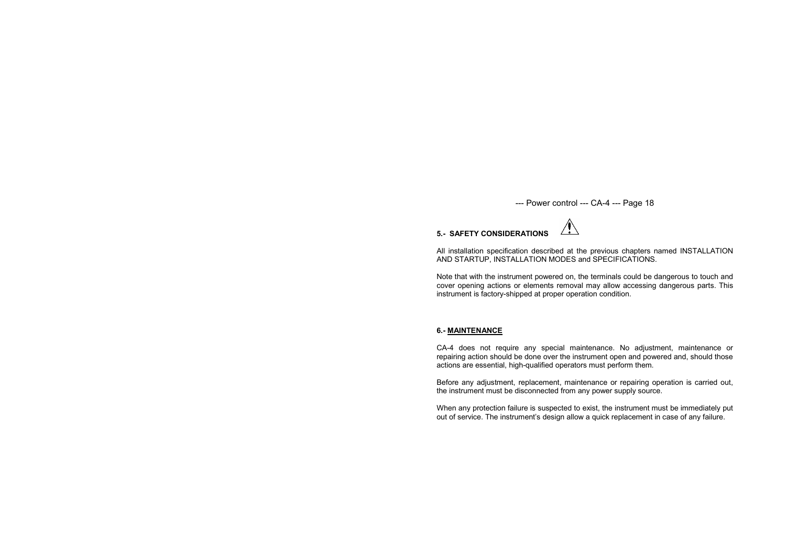

All installation specification described at the previous chapters named INSTALLATION AND STARTUP, INSTALLATION MODES and SPECIFICATIONS.

Note that with the instrument powered on, the terminals could be dangerous to touch and cover opening actions or elements removal may allow accessing dangerous parts. This instrument is factory-shipped at proper operation condition.

#### 6.- MAINTENANCE

CA-4 does not require any special maintenance. No adjustment, maintenance or repairing action should be done over the instrument open and powered and, should those actions are essential, high-qualified operators must perform them.

Before any adjustment, replacement, maintenance or repairing operation is carried out, the instrument must be disconnected from any power supply source.

When any protection failure is suspected to exist, the instrument must be immediately put out of service. The instrument's design allow a quick replacement in case of any failure.